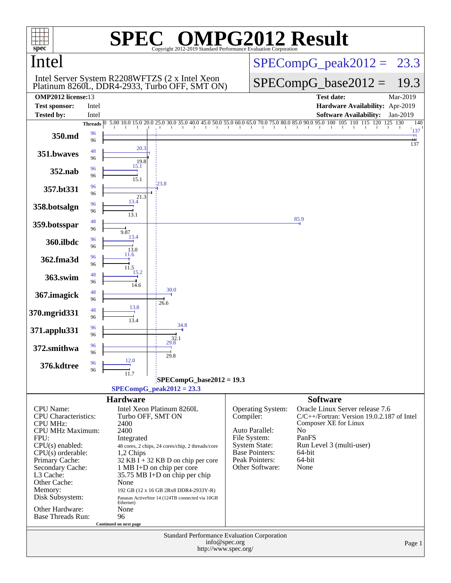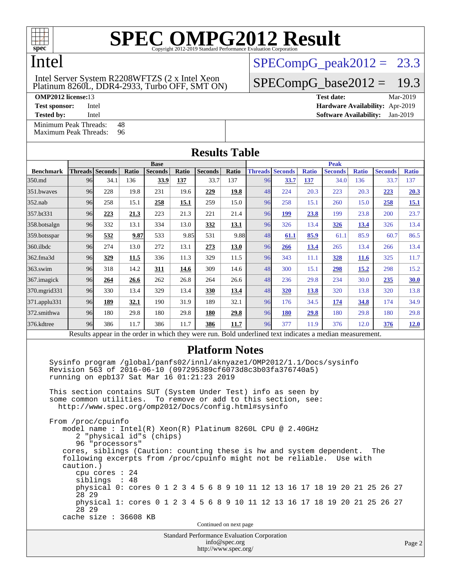

### Intel

#### Platinum 8260L, DDR4-2933, Turbo OFF, SMT ON) Intel Server System R2208WFTZS (2 x Intel Xeon

[Minimum Peak Threads:](http://www.spec.org/auto/omp2012/Docs/result-fields.html#MinimumPeakThreads) 48<br>Maximum Peak Threads: 96

[Maximum Peak Threads:](http://www.spec.org/auto/omp2012/Docs/result-fields.html#MaximumPeakThreads)

 $SPECompG_peak2012 = 23.3$  $SPECompG_peak2012 = 23.3$ 

#### $SPECompG_base2012 = 19.3$  $SPECompG_base2012 = 19.3$

**[OMP2012 license:](http://www.spec.org/auto/omp2012/Docs/result-fields.html#OMP2012license)**13 **[Test date:](http://www.spec.org/auto/omp2012/Docs/result-fields.html#Testdate)** Mar-2019 **[Test sponsor:](http://www.spec.org/auto/omp2012/Docs/result-fields.html#Testsponsor)** Intel **[Hardware Availability:](http://www.spec.org/auto/omp2012/Docs/result-fields.html#HardwareAvailability)** Apr-2019 **[Tested by:](http://www.spec.org/auto/omp2012/Docs/result-fields.html#Testedby)** Intel **[Software Availability:](http://www.spec.org/auto/omp2012/Docs/result-fields.html#SoftwareAvailability)** Jan-2019

| <b>Results Table</b> |                                                                                                          |                        |       |                |       |                |       |    |                        |              |                |              |                |              |  |
|----------------------|----------------------------------------------------------------------------------------------------------|------------------------|-------|----------------|-------|----------------|-------|----|------------------------|--------------|----------------|--------------|----------------|--------------|--|
|                      | <b>Base</b>                                                                                              |                        |       |                |       |                |       |    | <b>Peak</b>            |              |                |              |                |              |  |
| <b>Benchmark</b>     |                                                                                                          | <b>Threads</b> Seconds | Ratio | <b>Seconds</b> | Ratio | <b>Seconds</b> | Ratio |    | <b>Threads Seconds</b> | <b>Ratio</b> | <b>Seconds</b> | <b>Ratio</b> | <b>Seconds</b> | <b>Ratio</b> |  |
| 350.md               | 96                                                                                                       | 34.1                   | 136   | 33.9           | 137   | 33.7           | 137   | 96 | 33.7                   | 137          | 34.0           | 136          | 33.7           | 137          |  |
| 351.bwaves           | 96                                                                                                       | 228                    | 19.8  | 231            | 19.6  | 229            | 19.8  | 48 | 224                    | 20.3         | 223            | 20.3         | 223            | 20.3         |  |
| 352.nab              | 96                                                                                                       | 258                    | 15.1  | 258            | 15.1  | 259            | 15.0  | 96 | 258                    | 15.1         | 260            | 15.0         | 258            | 15.1         |  |
| 357.bt331            | 96                                                                                                       | 223                    | 21.3  | 223            | 21.3  | 221            | 21.4  | 96 | 199                    | 23.8         | 199            | 23.8         | 200            | 23.7         |  |
| 358.botsalgn         | 96                                                                                                       | 332                    | 13.1  | 334            | 13.0  | 332            | 13.1  | 96 | 326                    | 13.4         | <u>326</u>     | 13.4         | 326            | 13.4         |  |
| 359.botsspar         | 96                                                                                                       | 532                    | 9.87  | 533            | 9.85  | 531            | 9.88  | 48 | 61.1                   | 85.9         | 61.1           | 85.9         | 60.7           | 86.5         |  |
| 360.ilbdc            | 96                                                                                                       | 274                    | 13.0  | 272            | 13.1  | 273            | 13.0  | 96 | 266                    | <u>13.4</u>  | 265            | 13.4         | 266            | 13.4         |  |
| 362.fma3d            | 96                                                                                                       | 329                    | 11.5  | 336            | 11.3  | 329            | 11.5  | 96 | 343                    | 11.1         | <b>328</b>     | <b>11.6</b>  | 325            | 11.7         |  |
| $363$ .swim          | 96                                                                                                       | 318                    | 14.2  | <u>311</u>     | 14.6  | 309            | 14.6  | 48 | 300                    | 15.1         | <u>298</u>     | <u>15.2</u>  | 298            | 15.2         |  |
| 367.imagick          | 96                                                                                                       | 264                    | 26.6  | 262            | 26.8  | 264            | 26.6  | 48 | 236                    | 29.8         | 234            | 30.0         | 235            | <b>30.0</b>  |  |
| 370.mgrid331         | 96                                                                                                       | 330                    | 13.4  | 329            | 13.4  | 330            | 13.4  | 48 | 320                    | <u>13.8</u>  | 320            | 13.8         | 320            | 13.8         |  |
| 371.applu331         | 96                                                                                                       | 189                    | 32.1  | 190            | 31.9  | 189            | 32.1  | 96 | 176                    | 34.5         | 174            | 34.8         | 174            | 34.9         |  |
| 372.smithwa          | 96                                                                                                       | 180                    | 29.8  | 180            | 29.8  | 180            | 29.8  | 96 | 180                    | 29.8         | 180            | 29.8         | 180            | 29.8         |  |
| 376.kdtree           | 96                                                                                                       | 386                    | 11.7  | 386            | 11.7  | 386            | 11.7  | 96 | 377                    | 11.9         | 376            | 12.0         | 376            | <b>12.0</b>  |  |
|                      | Results appear in the order in which they were run. Bold underlined text indicates a median measurement. |                        |       |                |       |                |       |    |                        |              |                |              |                |              |  |

#### **[Platform Notes](http://www.spec.org/auto/omp2012/Docs/result-fields.html#PlatformNotes)**

 Sysinfo program /global/panfs02/innl/aknyaze1/OMP2012/1.1/Docs/sysinfo Revision 563 of 2016-06-10 (097295389cf6073d8c3b03fa376740a5) running on epb137 Sat Mar 16 01:21:23 2019

 This section contains SUT (System Under Test) info as seen by some common utilities. To remove or add to this section, see: <http://www.spec.org/omp2012/Docs/config.html#sysinfo>

 From /proc/cpuinfo model name : Intel(R) Xeon(R) Platinum 8260L CPU @ 2.40GHz 2 "physical id"s (chips) 96 "processors" cores, siblings (Caution: counting these is hw and system dependent. The following excerpts from /proc/cpuinfo might not be reliable. Use with caution.) cpu cores : 24 siblings : 48 physical 0: cores 0 1 2 3 4 5 6 8 9 10 11 12 13 16 17 18 19 20 21 25 26 27 28 29 physical 1: cores 0 1 2 3 4 5 6 8 9 10 11 12 13 16 17 18 19 20 21 25 26 27 28 29 cache size : 36608 KB

Continued on next page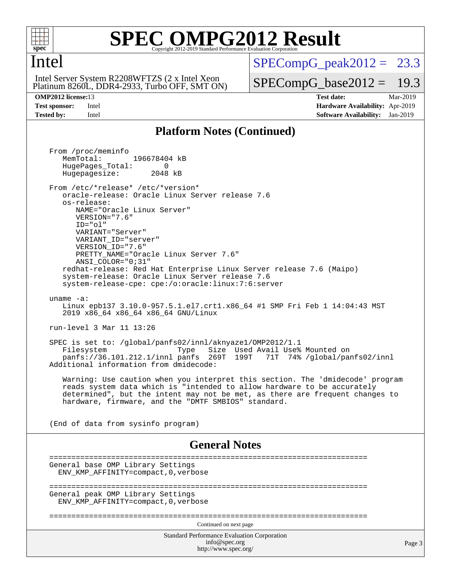

#### Intel

 Platinum 8260L, DDR4-2933, Turbo OFF, SMT ON) Intel Server System R2208WFTZS (2 x Intel Xeon

 $SPECompG<sub>peak2012</sub> = 23.3$ 

 $SPECompG_base2012 = 19.3$  $SPECompG_base2012 = 19.3$ 

**[OMP2012 license:](http://www.spec.org/auto/omp2012/Docs/result-fields.html#OMP2012license)**13 **[Test date:](http://www.spec.org/auto/omp2012/Docs/result-fields.html#Testdate)** Mar-2019 **[Test sponsor:](http://www.spec.org/auto/omp2012/Docs/result-fields.html#Testsponsor)** Intel **[Hardware Availability:](http://www.spec.org/auto/omp2012/Docs/result-fields.html#HardwareAvailability)** Apr-2019 **[Tested by:](http://www.spec.org/auto/omp2012/Docs/result-fields.html#Testedby)** Intel **[Software Availability:](http://www.spec.org/auto/omp2012/Docs/result-fields.html#SoftwareAvailability)** Jan-2019

#### **[Platform Notes \(Continued\)](http://www.spec.org/auto/omp2012/Docs/result-fields.html#PlatformNotes)**

Standard Performance Evaluation Corporation [info@spec.org](mailto:info@spec.org) <http://www.spec.org/> Page 3 From /proc/meminfo MemTotal: 196678404 kB HugePages\_Total: 0<br>Hugepagesize: 2048 kB Hugepagesize: From /etc/\*release\* /etc/\*version\* oracle-release: Oracle Linux Server release 7.6 os-release: NAME="Oracle Linux Server" VERSION="7.6" ID="ol" VARIANT="Server" VARIANT\_ID="server" VERSION\_ID="7.6" PRETTY\_NAME="Oracle Linux Server 7.6" ANSI\_COLOR="0;31" redhat-release: Red Hat Enterprise Linux Server release 7.6 (Maipo) system-release: Oracle Linux Server release 7.6 system-release-cpe: cpe:/o:oracle:linux:7:6:server uname -a: Linux epb137 3.10.0-957.5.1.el7.crt1.x86\_64 #1 SMP Fri Feb 1 14:04:43 MST 2019 x86\_64 x86\_64 x86\_64 GNU/Linux run-level 3 Mar 11 13:26 SPEC is set to: /global/panfs02/innl/aknyaze1/OMP2012/1.1 Type Size Used Avail Use% Mounted on<br>panfs 269T 199T 71T 74% /global/par panfs://36.101.212.1/innl panfs 269T 199T 71T 74% /global/panfs02/innl Additional information from dmidecode: Warning: Use caution when you interpret this section. The 'dmidecode' program reads system data which is "intended to allow hardware to be accurately determined", but the intent may not be met, as there are frequent changes to hardware, firmware, and the "DMTF SMBIOS" standard. (End of data from sysinfo program) **[General Notes](http://www.spec.org/auto/omp2012/Docs/result-fields.html#GeneralNotes)** ======================================================================== General base OMP Library Settings ENV\_KMP\_AFFINITY=compact,0,verbose ======================================================================== General peak OMP Library Settings ENV\_KMP\_AFFINITY=compact,0,verbose ======================================================================== Continued on next page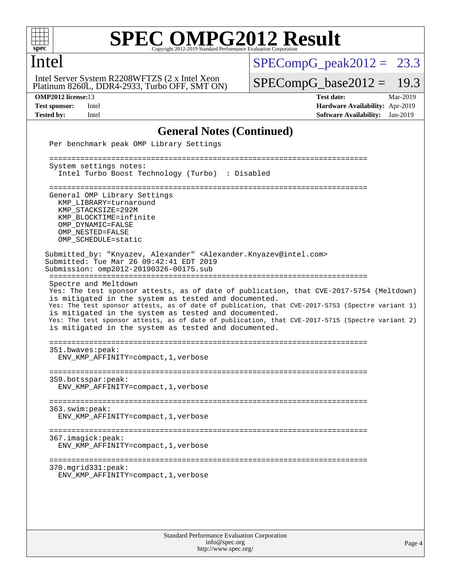

Intel

## **[SPEC OMPG2012 Result](http://www.spec.org/auto/omp2012/Docs/result-fields.html#SPECOMPG2012Result)**

Platinum 8260L, DDR4-2933, Turbo OFF, SMT ON) Intel Server System R2208WFTZS (2 x Intel Xeon

 $SPECompG_peak2012 = 23.3$  $SPECompG_peak2012 = 23.3$ 

 $SPECompG_base2012 = 19.3$  $SPECompG_base2012 = 19.3$ 

**[OMP2012 license:](http://www.spec.org/auto/omp2012/Docs/result-fields.html#OMP2012license)**13 **[Test date:](http://www.spec.org/auto/omp2012/Docs/result-fields.html#Testdate)** Mar-2019 **[Test sponsor:](http://www.spec.org/auto/omp2012/Docs/result-fields.html#Testsponsor)** Intel **[Hardware Availability:](http://www.spec.org/auto/omp2012/Docs/result-fields.html#HardwareAvailability)** Apr-2019 **[Tested by:](http://www.spec.org/auto/omp2012/Docs/result-fields.html#Testedby)** Intel **[Software Availability:](http://www.spec.org/auto/omp2012/Docs/result-fields.html#SoftwareAvailability)** Jan-2019

#### **[General Notes \(Continued\)](http://www.spec.org/auto/omp2012/Docs/result-fields.html#GeneralNotes)**

| Per benchmark peak OMP Library Settings                                                                                                                                                                                                                                                                                                                                                                                                                                                         |
|-------------------------------------------------------------------------------------------------------------------------------------------------------------------------------------------------------------------------------------------------------------------------------------------------------------------------------------------------------------------------------------------------------------------------------------------------------------------------------------------------|
| System settings notes:<br>Intel Turbo Boost Technology (Turbo) : Disabled                                                                                                                                                                                                                                                                                                                                                                                                                       |
| General OMP Library Settings<br>KMP_LIBRARY=turnaround<br>KMP STACKSIZE=292M<br>KMP_BLOCKTIME=infinite<br>OMP DYNAMIC=FALSE<br>OMP NESTED=FALSE<br>OMP_SCHEDULE=static                                                                                                                                                                                                                                                                                                                          |
| Submitted_by: "Knyazev, Alexander" <alexander.knyazev@intel.com><br/>Submitted: Tue Mar 26 09:42:41 EDT 2019<br/>Submission: omp2012-20190326-00175.sub</alexander.knyazev@intel.com>                                                                                                                                                                                                                                                                                                           |
| Spectre and Meltdown<br>Yes: The test sponsor attests, as of date of publication, that CVE-2017-5754 (Meltdown)<br>is mitigated in the system as tested and documented.<br>Yes: The test sponsor attests, as of date of publication, that CVE-2017-5753 (Spectre variant 1)<br>is mitigated in the system as tested and documented.<br>Yes: The test sponsor attests, as of date of publication, that CVE-2017-5715 (Spectre variant 2)<br>is mitigated in the system as tested and documented. |
| 351.bwaves:peak:<br>ENV_KMP_AFFINITY=compact, 1, verbose                                                                                                                                                                                                                                                                                                                                                                                                                                        |
| 359.botsspar: peak:<br>ENV_KMP_AFFINITY=compact, 1, verbose                                                                                                                                                                                                                                                                                                                                                                                                                                     |
| 363.swim:peak:<br>ENV_KMP_AFFINITY=compact, 1, verbose                                                                                                                                                                                                                                                                                                                                                                                                                                          |
| 367.imagick:peak:<br>ENV_KMP_AFFINITY=compact, 1, verbose                                                                                                                                                                                                                                                                                                                                                                                                                                       |
| 370.mgrid331:peak:<br>ENV_KMP_AFFINITY=compact, 1, verbose                                                                                                                                                                                                                                                                                                                                                                                                                                      |
|                                                                                                                                                                                                                                                                                                                                                                                                                                                                                                 |
|                                                                                                                                                                                                                                                                                                                                                                                                                                                                                                 |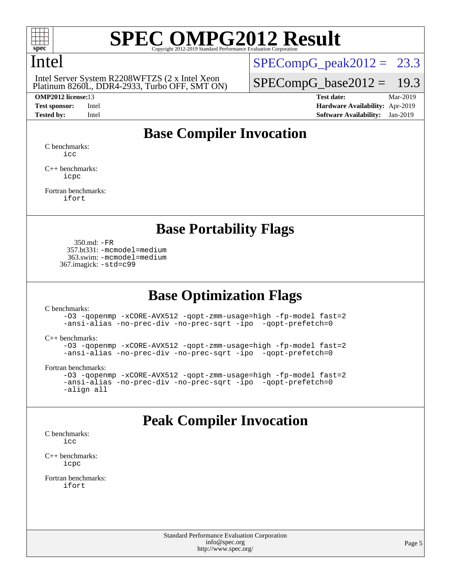

### Intel

 Platinum 8260L, DDR4-2933, Turbo OFF, SMT ON) Intel Server System R2208WFTZS (2 x Intel Xeon

 $SPECompG_peak2012 = 23.3$  $SPECompG_peak2012 = 23.3$ 

 $SPECompG_base2012 = 19.3$  $SPECompG_base2012 = 19.3$ 

**[OMP2012 license:](http://www.spec.org/auto/omp2012/Docs/result-fields.html#OMP2012license)**13 **[Test date:](http://www.spec.org/auto/omp2012/Docs/result-fields.html#Testdate)** Mar-2019 **[Test sponsor:](http://www.spec.org/auto/omp2012/Docs/result-fields.html#Testsponsor)** Intel **[Hardware Availability:](http://www.spec.org/auto/omp2012/Docs/result-fields.html#HardwareAvailability)** Apr-2019 **[Tested by:](http://www.spec.org/auto/omp2012/Docs/result-fields.html#Testedby)** Intel **[Software Availability:](http://www.spec.org/auto/omp2012/Docs/result-fields.html#SoftwareAvailability)** Jan-2019

## **[Base Compiler Invocation](http://www.spec.org/auto/omp2012/Docs/result-fields.html#BaseCompilerInvocation)**

[C benchmarks](http://www.spec.org/auto/omp2012/Docs/result-fields.html#Cbenchmarks): [icc](http://www.spec.org/omp2012/results/res2019q2/omp2012-20190326-00175.flags.html#user_CCbase_intel_icc_a87c68a857bc5ec5362391a49d3a37a6)

[C++ benchmarks:](http://www.spec.org/auto/omp2012/Docs/result-fields.html#CXXbenchmarks) [icpc](http://www.spec.org/omp2012/results/res2019q2/omp2012-20190326-00175.flags.html#user_CXXbase_intel_icpc_2d899f8d163502b12eb4a60069f80c1c)

[Fortran benchmarks](http://www.spec.org/auto/omp2012/Docs/result-fields.html#Fortranbenchmarks): [ifort](http://www.spec.org/omp2012/results/res2019q2/omp2012-20190326-00175.flags.html#user_FCbase_intel_ifort_8a5e5e06b19a251bdeaf8fdab5d62f20)

#### **[Base Portability Flags](http://www.spec.org/auto/omp2012/Docs/result-fields.html#BasePortabilityFlags)**

 350.md: [-FR](http://www.spec.org/omp2012/results/res2019q2/omp2012-20190326-00175.flags.html#user_baseFPORTABILITY350_md_f-FR) 357.bt331: [-mcmodel=medium](http://www.spec.org/omp2012/results/res2019q2/omp2012-20190326-00175.flags.html#user_basePORTABILITY357_bt331_f-mcmodel_3a41622424bdd074c4f0f2d2f224c7e5) 363.swim: [-mcmodel=medium](http://www.spec.org/omp2012/results/res2019q2/omp2012-20190326-00175.flags.html#user_basePORTABILITY363_swim_f-mcmodel_3a41622424bdd074c4f0f2d2f224c7e5) 367.imagick: [-std=c99](http://www.spec.org/omp2012/results/res2019q2/omp2012-20190326-00175.flags.html#user_baseCPORTABILITY367_imagick_f-std_2ec6533b6e06f1c4a6c9b78d9e9cde24)

### **[Base Optimization Flags](http://www.spec.org/auto/omp2012/Docs/result-fields.html#BaseOptimizationFlags)**

[C benchmarks](http://www.spec.org/auto/omp2012/Docs/result-fields.html#Cbenchmarks):

[-O3](http://www.spec.org/omp2012/results/res2019q2/omp2012-20190326-00175.flags.html#user_CCbase_f-O3) [-qopenmp](http://www.spec.org/omp2012/results/res2019q2/omp2012-20190326-00175.flags.html#user_CCbase_f-qopenmp) [-xCORE-AVX512](http://www.spec.org/omp2012/results/res2019q2/omp2012-20190326-00175.flags.html#user_CCbase_f-xCORE-AVX512) [-qopt-zmm-usage=high](http://www.spec.org/omp2012/results/res2019q2/omp2012-20190326-00175.flags.html#user_CCbase_f-qopt-zmm-usage_213d857421e75f2db2f896f7900465fb) [-fp-model fast=2](http://www.spec.org/omp2012/results/res2019q2/omp2012-20190326-00175.flags.html#user_CCbase_f-fp-model_a7fb8ccb7275e23f0079632c153cfcab) [-ansi-alias](http://www.spec.org/omp2012/results/res2019q2/omp2012-20190326-00175.flags.html#user_CCbase_f-ansi-alias) [-no-prec-div](http://www.spec.org/omp2012/results/res2019q2/omp2012-20190326-00175.flags.html#user_CCbase_f-no-prec-div) [-no-prec-sqrt](http://www.spec.org/omp2012/results/res2019q2/omp2012-20190326-00175.flags.html#user_CCbase_f-no-prec-sqrt) [-ipo](http://www.spec.org/omp2012/results/res2019q2/omp2012-20190326-00175.flags.html#user_CCbase_f-ipo_84062ab53814f613187d02344b8f49a7) [-qopt-prefetch=0](http://www.spec.org/omp2012/results/res2019q2/omp2012-20190326-00175.flags.html#user_CCbase_f-qopt-prefetch_ce172c705aa924d14c76f32fff3f4886)

[C++ benchmarks:](http://www.spec.org/auto/omp2012/Docs/result-fields.html#CXXbenchmarks)

```
-O3 -qopenmp -xCORE-AVX512 -qopt-zmm-usage=high -fp-model fast=2
-ansi-alias -no-prec-div -no-prec-sqrt -ipo -qopt-prefetch=0
```
[Fortran benchmarks](http://www.spec.org/auto/omp2012/Docs/result-fields.html#Fortranbenchmarks):

```
-O3 -qopenmp -xCORE-AVX512 -qopt-zmm-usage=high -fp-model fast=2
-ansi-alias -no-prec-div -no-prec-sqrt -ipo -qopt-prefetch=0
-align all
```
### **[Peak Compiler Invocation](http://www.spec.org/auto/omp2012/Docs/result-fields.html#PeakCompilerInvocation)**

[C benchmarks](http://www.spec.org/auto/omp2012/Docs/result-fields.html#Cbenchmarks): [icc](http://www.spec.org/omp2012/results/res2019q2/omp2012-20190326-00175.flags.html#user_CCpeak_intel_icc_a87c68a857bc5ec5362391a49d3a37a6)

[C++ benchmarks:](http://www.spec.org/auto/omp2012/Docs/result-fields.html#CXXbenchmarks) [icpc](http://www.spec.org/omp2012/results/res2019q2/omp2012-20190326-00175.flags.html#user_CXXpeak_intel_icpc_2d899f8d163502b12eb4a60069f80c1c)

[Fortran benchmarks](http://www.spec.org/auto/omp2012/Docs/result-fields.html#Fortranbenchmarks): [ifort](http://www.spec.org/omp2012/results/res2019q2/omp2012-20190326-00175.flags.html#user_FCpeak_intel_ifort_8a5e5e06b19a251bdeaf8fdab5d62f20)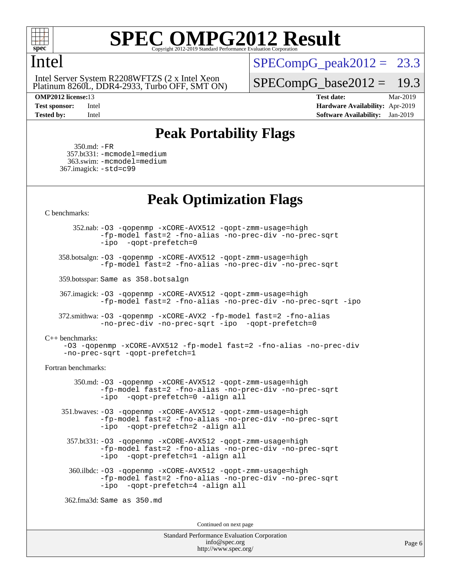

#### Intel

 Platinum 8260L, DDR4-2933, Turbo OFF, SMT ON) Intel Server System R2208WFTZS (2 x Intel Xeon

 $SPECompG_peak2012 = 23.3$  $SPECompG_peak2012 = 23.3$ 

 $SPECompG_base2012 = 19.3$  $SPECompG_base2012 = 19.3$ 

**[OMP2012 license:](http://www.spec.org/auto/omp2012/Docs/result-fields.html#OMP2012license)**13 **[Test date:](http://www.spec.org/auto/omp2012/Docs/result-fields.html#Testdate)** Mar-2019 **[Test sponsor:](http://www.spec.org/auto/omp2012/Docs/result-fields.html#Testsponsor)** Intel **[Hardware Availability:](http://www.spec.org/auto/omp2012/Docs/result-fields.html#HardwareAvailability)** Apr-2019 **[Tested by:](http://www.spec.org/auto/omp2012/Docs/result-fields.html#Testedby)** Intel **[Software Availability:](http://www.spec.org/auto/omp2012/Docs/result-fields.html#SoftwareAvailability)** Jan-2019

## **[Peak Portability Flags](http://www.spec.org/auto/omp2012/Docs/result-fields.html#PeakPortabilityFlags)**

 350.md: [-FR](http://www.spec.org/omp2012/results/res2019q2/omp2012-20190326-00175.flags.html#user_peakFPORTABILITY350_md_f-FR) 357.bt331: [-mcmodel=medium](http://www.spec.org/omp2012/results/res2019q2/omp2012-20190326-00175.flags.html#user_peakPORTABILITY357_bt331_f-mcmodel_3a41622424bdd074c4f0f2d2f224c7e5) 363.swim: [-mcmodel=medium](http://www.spec.org/omp2012/results/res2019q2/omp2012-20190326-00175.flags.html#user_peakPORTABILITY363_swim_f-mcmodel_3a41622424bdd074c4f0f2d2f224c7e5) 367.imagick: [-std=c99](http://www.spec.org/omp2012/results/res2019q2/omp2012-20190326-00175.flags.html#user_peakCPORTABILITY367_imagick_f-std_2ec6533b6e06f1c4a6c9b78d9e9cde24)

### **[Peak Optimization Flags](http://www.spec.org/auto/omp2012/Docs/result-fields.html#PeakOptimizationFlags)**

[C benchmarks](http://www.spec.org/auto/omp2012/Docs/result-fields.html#Cbenchmarks):

 352.nab: [-O3](http://www.spec.org/omp2012/results/res2019q2/omp2012-20190326-00175.flags.html#user_peakOPTIMIZE352_nab_f-O3) [-qopenmp](http://www.spec.org/omp2012/results/res2019q2/omp2012-20190326-00175.flags.html#user_peakOPTIMIZE352_nab_f-qopenmp) [-xCORE-AVX512](http://www.spec.org/omp2012/results/res2019q2/omp2012-20190326-00175.flags.html#user_peakOPTIMIZE352_nab_f-xCORE-AVX512) [-qopt-zmm-usage=high](http://www.spec.org/omp2012/results/res2019q2/omp2012-20190326-00175.flags.html#user_peakOPTIMIZE352_nab_f-qopt-zmm-usage_213d857421e75f2db2f896f7900465fb) [-fp-model fast=2](http://www.spec.org/omp2012/results/res2019q2/omp2012-20190326-00175.flags.html#user_peakOPTIMIZE352_nab_f-fp-model_a7fb8ccb7275e23f0079632c153cfcab) [-fno-alias](http://www.spec.org/omp2012/results/res2019q2/omp2012-20190326-00175.flags.html#user_peakOPTIMIZE352_nab_f-no-alias_694e77f6c5a51e658e82ccff53a9e63a) [-no-prec-div](http://www.spec.org/omp2012/results/res2019q2/omp2012-20190326-00175.flags.html#user_peakOPTIMIZE352_nab_f-no-prec-div) [-no-prec-sqrt](http://www.spec.org/omp2012/results/res2019q2/omp2012-20190326-00175.flags.html#user_peakOPTIMIZE352_nab_f-no-prec-sqrt) [-ipo](http://www.spec.org/omp2012/results/res2019q2/omp2012-20190326-00175.flags.html#user_peakOPTIMIZE352_nab_f-ipo_84062ab53814f613187d02344b8f49a7) [-qopt-prefetch=0](http://www.spec.org/omp2012/results/res2019q2/omp2012-20190326-00175.flags.html#user_peakOPTIMIZE352_nab_f-qopt-prefetch_ce172c705aa924d14c76f32fff3f4886)

 358.botsalgn: [-O3](http://www.spec.org/omp2012/results/res2019q2/omp2012-20190326-00175.flags.html#user_peakOPTIMIZE358_botsalgn_f-O3) [-qopenmp](http://www.spec.org/omp2012/results/res2019q2/omp2012-20190326-00175.flags.html#user_peakOPTIMIZE358_botsalgn_f-qopenmp) [-xCORE-AVX512](http://www.spec.org/omp2012/results/res2019q2/omp2012-20190326-00175.flags.html#user_peakOPTIMIZE358_botsalgn_f-xCORE-AVX512) [-qopt-zmm-usage=high](http://www.spec.org/omp2012/results/res2019q2/omp2012-20190326-00175.flags.html#user_peakOPTIMIZE358_botsalgn_f-qopt-zmm-usage_213d857421e75f2db2f896f7900465fb) [-fp-model fast=2](http://www.spec.org/omp2012/results/res2019q2/omp2012-20190326-00175.flags.html#user_peakOPTIMIZE358_botsalgn_f-fp-model_a7fb8ccb7275e23f0079632c153cfcab) [-fno-alias](http://www.spec.org/omp2012/results/res2019q2/omp2012-20190326-00175.flags.html#user_peakOPTIMIZE358_botsalgn_f-no-alias_694e77f6c5a51e658e82ccff53a9e63a) [-no-prec-div](http://www.spec.org/omp2012/results/res2019q2/omp2012-20190326-00175.flags.html#user_peakOPTIMIZE358_botsalgn_f-no-prec-div) [-no-prec-sqrt](http://www.spec.org/omp2012/results/res2019q2/omp2012-20190326-00175.flags.html#user_peakOPTIMIZE358_botsalgn_f-no-prec-sqrt)

359.botsspar: Same as 358.botsalgn

 367.imagick: [-O3](http://www.spec.org/omp2012/results/res2019q2/omp2012-20190326-00175.flags.html#user_peakOPTIMIZE367_imagick_f-O3) [-qopenmp](http://www.spec.org/omp2012/results/res2019q2/omp2012-20190326-00175.flags.html#user_peakOPTIMIZE367_imagick_f-qopenmp) [-xCORE-AVX512](http://www.spec.org/omp2012/results/res2019q2/omp2012-20190326-00175.flags.html#user_peakOPTIMIZE367_imagick_f-xCORE-AVX512) [-qopt-zmm-usage=high](http://www.spec.org/omp2012/results/res2019q2/omp2012-20190326-00175.flags.html#user_peakOPTIMIZE367_imagick_f-qopt-zmm-usage_213d857421e75f2db2f896f7900465fb) [-fp-model fast=2](http://www.spec.org/omp2012/results/res2019q2/omp2012-20190326-00175.flags.html#user_peakOPTIMIZE367_imagick_f-fp-model_a7fb8ccb7275e23f0079632c153cfcab) [-fno-alias](http://www.spec.org/omp2012/results/res2019q2/omp2012-20190326-00175.flags.html#user_peakOPTIMIZE367_imagick_f-no-alias_694e77f6c5a51e658e82ccff53a9e63a) [-no-prec-div](http://www.spec.org/omp2012/results/res2019q2/omp2012-20190326-00175.flags.html#user_peakOPTIMIZE367_imagick_f-no-prec-div) [-no-prec-sqrt](http://www.spec.org/omp2012/results/res2019q2/omp2012-20190326-00175.flags.html#user_peakOPTIMIZE367_imagick_f-no-prec-sqrt) [-ipo](http://www.spec.org/omp2012/results/res2019q2/omp2012-20190326-00175.flags.html#user_peakOPTIMIZE367_imagick_f-ipo)

 372.smithwa: [-O3](http://www.spec.org/omp2012/results/res2019q2/omp2012-20190326-00175.flags.html#user_peakOPTIMIZE372_smithwa_f-O3) [-qopenmp](http://www.spec.org/omp2012/results/res2019q2/omp2012-20190326-00175.flags.html#user_peakOPTIMIZE372_smithwa_f-qopenmp) [-xCORE-AVX2](http://www.spec.org/omp2012/results/res2019q2/omp2012-20190326-00175.flags.html#user_peakOPTIMIZE372_smithwa_f-xCORE-AVX2) [-fp-model fast=2](http://www.spec.org/omp2012/results/res2019q2/omp2012-20190326-00175.flags.html#user_peakOPTIMIZE372_smithwa_f-fp-model_a7fb8ccb7275e23f0079632c153cfcab) [-fno-alias](http://www.spec.org/omp2012/results/res2019q2/omp2012-20190326-00175.flags.html#user_peakOPTIMIZE372_smithwa_f-no-alias_694e77f6c5a51e658e82ccff53a9e63a) [-no-prec-div](http://www.spec.org/omp2012/results/res2019q2/omp2012-20190326-00175.flags.html#user_peakOPTIMIZE372_smithwa_f-no-prec-div) [-no-prec-sqrt](http://www.spec.org/omp2012/results/res2019q2/omp2012-20190326-00175.flags.html#user_peakOPTIMIZE372_smithwa_f-no-prec-sqrt) [-ipo](http://www.spec.org/omp2012/results/res2019q2/omp2012-20190326-00175.flags.html#user_peakOPTIMIZE372_smithwa_f-ipo_84062ab53814f613187d02344b8f49a7) [-qopt-prefetch=0](http://www.spec.org/omp2012/results/res2019q2/omp2012-20190326-00175.flags.html#user_peakOPTIMIZE372_smithwa_f-qopt-prefetch_ce172c705aa924d14c76f32fff3f4886)

[C++ benchmarks:](http://www.spec.org/auto/omp2012/Docs/result-fields.html#CXXbenchmarks)

[-O3](http://www.spec.org/omp2012/results/res2019q2/omp2012-20190326-00175.flags.html#user_CXXpeak_f-O3) [-qopenmp](http://www.spec.org/omp2012/results/res2019q2/omp2012-20190326-00175.flags.html#user_CXXpeak_f-qopenmp) [-xCORE-AVX512](http://www.spec.org/omp2012/results/res2019q2/omp2012-20190326-00175.flags.html#user_CXXpeak_f-xCORE-AVX512) [-fp-model fast=2](http://www.spec.org/omp2012/results/res2019q2/omp2012-20190326-00175.flags.html#user_CXXpeak_f-fp-model_a7fb8ccb7275e23f0079632c153cfcab) [-fno-alias](http://www.spec.org/omp2012/results/res2019q2/omp2012-20190326-00175.flags.html#user_CXXpeak_f-no-alias_694e77f6c5a51e658e82ccff53a9e63a) [-no-prec-div](http://www.spec.org/omp2012/results/res2019q2/omp2012-20190326-00175.flags.html#user_CXXpeak_f-no-prec-div) [-no-prec-sqrt](http://www.spec.org/omp2012/results/res2019q2/omp2012-20190326-00175.flags.html#user_CXXpeak_f-no-prec-sqrt) [-qopt-prefetch=1](http://www.spec.org/omp2012/results/res2019q2/omp2012-20190326-00175.flags.html#user_CXXpeak_f-qopt-prefetch_9097ad9b78e4401c727c33237ff25d7e)

[Fortran benchmarks](http://www.spec.org/auto/omp2012/Docs/result-fields.html#Fortranbenchmarks):

 350.md: [-O3](http://www.spec.org/omp2012/results/res2019q2/omp2012-20190326-00175.flags.html#user_peakOPTIMIZE350_md_f-O3) [-qopenmp](http://www.spec.org/omp2012/results/res2019q2/omp2012-20190326-00175.flags.html#user_peakOPTIMIZE350_md_f-qopenmp) [-xCORE-AVX512](http://www.spec.org/omp2012/results/res2019q2/omp2012-20190326-00175.flags.html#user_peakOPTIMIZE350_md_f-xCORE-AVX512) [-qopt-zmm-usage=high](http://www.spec.org/omp2012/results/res2019q2/omp2012-20190326-00175.flags.html#user_peakOPTIMIZE350_md_f-qopt-zmm-usage_213d857421e75f2db2f896f7900465fb) [-fp-model fast=2](http://www.spec.org/omp2012/results/res2019q2/omp2012-20190326-00175.flags.html#user_peakOPTIMIZE350_md_f-fp-model_a7fb8ccb7275e23f0079632c153cfcab) [-fno-alias](http://www.spec.org/omp2012/results/res2019q2/omp2012-20190326-00175.flags.html#user_peakOPTIMIZE350_md_f-no-alias_694e77f6c5a51e658e82ccff53a9e63a) [-no-prec-div](http://www.spec.org/omp2012/results/res2019q2/omp2012-20190326-00175.flags.html#user_peakOPTIMIZE350_md_f-no-prec-div) [-no-prec-sqrt](http://www.spec.org/omp2012/results/res2019q2/omp2012-20190326-00175.flags.html#user_peakOPTIMIZE350_md_f-no-prec-sqrt) [-ipo](http://www.spec.org/omp2012/results/res2019q2/omp2012-20190326-00175.flags.html#user_peakOPTIMIZE350_md_f-ipo_84062ab53814f613187d02344b8f49a7) [-qopt-prefetch=0](http://www.spec.org/omp2012/results/res2019q2/omp2012-20190326-00175.flags.html#user_peakOPTIMIZE350_md_f-qopt-prefetch_ce172c705aa924d14c76f32fff3f4886) [-align all](http://www.spec.org/omp2012/results/res2019q2/omp2012-20190326-00175.flags.html#user_peakFOPTIMIZE350_md_f-align_1ebfa66158b49aff21b037afc4046011)

 351.bwaves: [-O3](http://www.spec.org/omp2012/results/res2019q2/omp2012-20190326-00175.flags.html#user_peakOPTIMIZE351_bwaves_f-O3) [-qopenmp](http://www.spec.org/omp2012/results/res2019q2/omp2012-20190326-00175.flags.html#user_peakOPTIMIZE351_bwaves_f-qopenmp) [-xCORE-AVX512](http://www.spec.org/omp2012/results/res2019q2/omp2012-20190326-00175.flags.html#user_peakOPTIMIZE351_bwaves_f-xCORE-AVX512) [-qopt-zmm-usage=high](http://www.spec.org/omp2012/results/res2019q2/omp2012-20190326-00175.flags.html#user_peakOPTIMIZE351_bwaves_f-qopt-zmm-usage_213d857421e75f2db2f896f7900465fb) [-fp-model fast=2](http://www.spec.org/omp2012/results/res2019q2/omp2012-20190326-00175.flags.html#user_peakOPTIMIZE351_bwaves_f-fp-model_a7fb8ccb7275e23f0079632c153cfcab) [-fno-alias](http://www.spec.org/omp2012/results/res2019q2/omp2012-20190326-00175.flags.html#user_peakOPTIMIZE351_bwaves_f-no-alias_694e77f6c5a51e658e82ccff53a9e63a) [-no-prec-div](http://www.spec.org/omp2012/results/res2019q2/omp2012-20190326-00175.flags.html#user_peakOPTIMIZE351_bwaves_f-no-prec-div) [-no-prec-sqrt](http://www.spec.org/omp2012/results/res2019q2/omp2012-20190326-00175.flags.html#user_peakOPTIMIZE351_bwaves_f-no-prec-sqrt) [-ipo](http://www.spec.org/omp2012/results/res2019q2/omp2012-20190326-00175.flags.html#user_peakOPTIMIZE351_bwaves_f-ipo_84062ab53814f613187d02344b8f49a7) [-qopt-prefetch=2](http://www.spec.org/omp2012/results/res2019q2/omp2012-20190326-00175.flags.html#user_peakOPTIMIZE351_bwaves_f-qopt-prefetch_5dd8eff5680869f15030b88dfb173050) [-align all](http://www.spec.org/omp2012/results/res2019q2/omp2012-20190326-00175.flags.html#user_peakFOPTIMIZE351_bwaves_f-align_1ebfa66158b49aff21b037afc4046011)

 357.bt331: [-O3](http://www.spec.org/omp2012/results/res2019q2/omp2012-20190326-00175.flags.html#user_peakOPTIMIZE357_bt331_f-O3) [-qopenmp](http://www.spec.org/omp2012/results/res2019q2/omp2012-20190326-00175.flags.html#user_peakOPTIMIZE357_bt331_f-qopenmp) [-xCORE-AVX512](http://www.spec.org/omp2012/results/res2019q2/omp2012-20190326-00175.flags.html#user_peakOPTIMIZE357_bt331_f-xCORE-AVX512) [-qopt-zmm-usage=high](http://www.spec.org/omp2012/results/res2019q2/omp2012-20190326-00175.flags.html#user_peakOPTIMIZE357_bt331_f-qopt-zmm-usage_213d857421e75f2db2f896f7900465fb) [-fp-model fast=2](http://www.spec.org/omp2012/results/res2019q2/omp2012-20190326-00175.flags.html#user_peakOPTIMIZE357_bt331_f-fp-model_a7fb8ccb7275e23f0079632c153cfcab) [-fno-alias](http://www.spec.org/omp2012/results/res2019q2/omp2012-20190326-00175.flags.html#user_peakOPTIMIZE357_bt331_f-no-alias_694e77f6c5a51e658e82ccff53a9e63a) [-no-prec-div](http://www.spec.org/omp2012/results/res2019q2/omp2012-20190326-00175.flags.html#user_peakOPTIMIZE357_bt331_f-no-prec-div) [-no-prec-sqrt](http://www.spec.org/omp2012/results/res2019q2/omp2012-20190326-00175.flags.html#user_peakOPTIMIZE357_bt331_f-no-prec-sqrt) [-ipo](http://www.spec.org/omp2012/results/res2019q2/omp2012-20190326-00175.flags.html#user_peakOPTIMIZE357_bt331_f-ipo_84062ab53814f613187d02344b8f49a7) [-qopt-prefetch=1](http://www.spec.org/omp2012/results/res2019q2/omp2012-20190326-00175.flags.html#user_peakOPTIMIZE357_bt331_f-qopt-prefetch_9097ad9b78e4401c727c33237ff25d7e) [-align all](http://www.spec.org/omp2012/results/res2019q2/omp2012-20190326-00175.flags.html#user_peakFOPTIMIZE357_bt331_f-align_1ebfa66158b49aff21b037afc4046011)

 360.ilbdc: [-O3](http://www.spec.org/omp2012/results/res2019q2/omp2012-20190326-00175.flags.html#user_peakOPTIMIZE360_ilbdc_f-O3) [-qopenmp](http://www.spec.org/omp2012/results/res2019q2/omp2012-20190326-00175.flags.html#user_peakOPTIMIZE360_ilbdc_f-qopenmp) [-xCORE-AVX512](http://www.spec.org/omp2012/results/res2019q2/omp2012-20190326-00175.flags.html#user_peakOPTIMIZE360_ilbdc_f-xCORE-AVX512) [-qopt-zmm-usage=high](http://www.spec.org/omp2012/results/res2019q2/omp2012-20190326-00175.flags.html#user_peakOPTIMIZE360_ilbdc_f-qopt-zmm-usage_213d857421e75f2db2f896f7900465fb) [-fp-model fast=2](http://www.spec.org/omp2012/results/res2019q2/omp2012-20190326-00175.flags.html#user_peakOPTIMIZE360_ilbdc_f-fp-model_a7fb8ccb7275e23f0079632c153cfcab) [-fno-alias](http://www.spec.org/omp2012/results/res2019q2/omp2012-20190326-00175.flags.html#user_peakOPTIMIZE360_ilbdc_f-no-alias_694e77f6c5a51e658e82ccff53a9e63a) [-no-prec-div](http://www.spec.org/omp2012/results/res2019q2/omp2012-20190326-00175.flags.html#user_peakOPTIMIZE360_ilbdc_f-no-prec-div) [-no-prec-sqrt](http://www.spec.org/omp2012/results/res2019q2/omp2012-20190326-00175.flags.html#user_peakOPTIMIZE360_ilbdc_f-no-prec-sqrt) [-ipo](http://www.spec.org/omp2012/results/res2019q2/omp2012-20190326-00175.flags.html#user_peakOPTIMIZE360_ilbdc_f-ipo_84062ab53814f613187d02344b8f49a7) [-qopt-prefetch=4](http://www.spec.org/omp2012/results/res2019q2/omp2012-20190326-00175.flags.html#user_peakOPTIMIZE360_ilbdc_f-qopt-prefetch_45f10e083f30a80e5aadab0211b1bca7) [-align all](http://www.spec.org/omp2012/results/res2019q2/omp2012-20190326-00175.flags.html#user_peakFOPTIMIZE360_ilbdc_f-align_1ebfa66158b49aff21b037afc4046011)

362.fma3d: Same as 350.md

Continued on next page